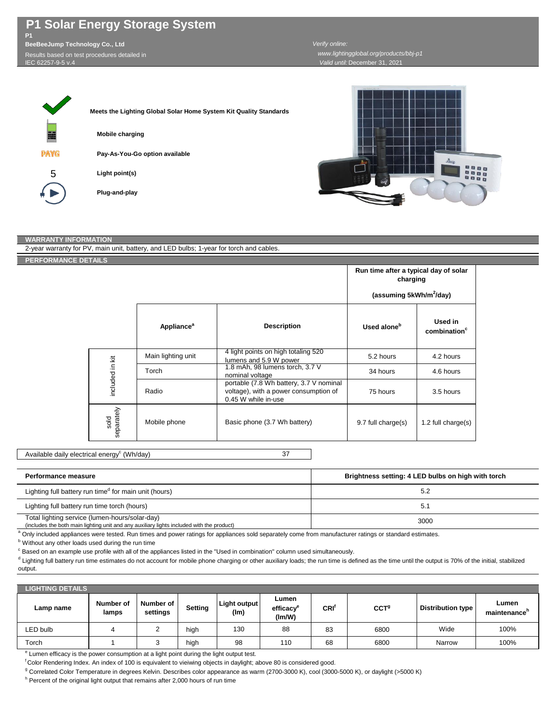## **P1 Solar Energy Storage System**

**P1 BeeBeeJump Technology Co., Ltd** Results based on test procedures detailed in IEC 62257-9-5 v.4

## *Valid until:* December 31, 2021 *Verify online: www.lightingglobal.org/products/bbj-p1*





## **WARRANTY INFORMATION**

| 2-year warranty for PV, main unit, battery, and LED bulbs; 1-year for torch and cables. |                    |                                     |                                                                                                         |                                                   |                                     |  |  |
|-----------------------------------------------------------------------------------------|--------------------|-------------------------------------|---------------------------------------------------------------------------------------------------------|---------------------------------------------------|-------------------------------------|--|--|
| <b>PERFORMANCE DETAILS</b>                                                              |                    |                                     |                                                                                                         |                                                   |                                     |  |  |
|                                                                                         |                    |                                     |                                                                                                         | Run time after a typical day of solar<br>charging |                                     |  |  |
|                                                                                         |                    | (assuming 5kWh/m <sup>2</sup> /day) |                                                                                                         |                                                   |                                     |  |  |
|                                                                                         |                    | Appliance <sup>a</sup>              | <b>Description</b>                                                                                      | Used alone <sup>b</sup>                           | Used in<br>combination <sup>c</sup> |  |  |
|                                                                                         | included in kit    | Main lighting unit                  | 4 light points on high totaling 520<br>lumens and 5.9 W power                                           | 5.2 hours                                         | 4.2 hours                           |  |  |
|                                                                                         |                    | Torch                               | 1.8 mAh, 98 lumens torch, 3.7 V<br>nominal voltage                                                      | 34 hours                                          | 4.6 hours                           |  |  |
|                                                                                         |                    | Radio                               | portable (7.8 Wh battery, 3.7 V nominal<br>voltage), with a power consumption of<br>0.45 W while in-use | 75 hours                                          | 3.5 hours                           |  |  |
|                                                                                         | sold<br>separately | Mobile phone                        | Basic phone (3.7 Wh battery)                                                                            | 9.7 full charge(s)                                | 1.2 full charge(s)                  |  |  |

## 37 Available daily electrical energy<sup>c</sup> (Wh/day)

| Performance measure                                                                                                                         | Brightness setting: 4 LED bulbs on high with torch |
|---------------------------------------------------------------------------------------------------------------------------------------------|----------------------------------------------------|
| Lighting full battery run time <sup>d</sup> for main unit (hours)                                                                           | 5.2                                                |
| Lighting full battery run time torch (hours)                                                                                                | 5.1                                                |
| Total lighting service (lumen-hours/solar-day)<br>(includes the both main lighting unit and any auxiliary lights included with the product) | 3000                                               |

<sup>a</sup> Only included appliances were tested. Run times and power ratings for appliances sold separately come from manufacturer ratings or standard estimates.

**b** Without any other loads used during the run time

<sup>c</sup> Based on an example use profile with all of the appliances listed in the "Used in combination" column used simultaneously.

<sup>d</sup> Lighting full battery run time estimates do not account for mobile phone charging or other auxiliary loads; the run time is defined as the time until the output is 70% of the initial, stabilized output.

| <b>LIGHTING DETAILS</b> |                    |                       |         |                      |                                          |     |                  |                          |                       |
|-------------------------|--------------------|-----------------------|---------|----------------------|------------------------------------------|-----|------------------|--------------------------|-----------------------|
| Lamp name               | Number of<br>lamps | Number of<br>settings | Setting | Light output<br>(lm) | Lumen<br>efficacy <sup>e</sup><br>(lm/W) | CRI | CCT <sup>9</sup> | <b>Distribution type</b> | Lumen<br>maintenance" |
| LED bulb                |                    |                       | high    | 130                  | 88                                       | 83  | 6800             | Wide                     | 100%                  |
| Torch                   |                    |                       | high    | 98                   | 110                                      | 68  | 6800             | Narrow                   | 100%                  |

<sup>e</sup> Lumen efficacy is the power consumption at a light point during the light output test.

<sup>f</sup>Color Rendering Index. An index of 100 is equivalent to vieiwing objects in daylight; above 80 is considered good.

<sup>g</sup> Correlated Color Temperature in degrees Kelvin. Describes color appearance as warm (2700-3000 K), cool (3000-5000 K), or daylight (>5000 K)

<sup>h</sup> Percent of the original light output that remains after 2,000 hours of run time